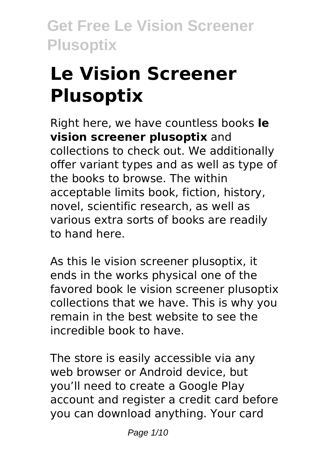# **Le Vision Screener Plusoptix**

Right here, we have countless books **le vision screener plusoptix** and collections to check out. We additionally offer variant types and as well as type of the books to browse. The within acceptable limits book, fiction, history, novel, scientific research, as well as various extra sorts of books are readily to hand here.

As this le vision screener plusoptix, it ends in the works physical one of the favored book le vision screener plusoptix collections that we have. This is why you remain in the best website to see the incredible book to have.

The store is easily accessible via any web browser or Android device, but you'll need to create a Google Play account and register a credit card before you can download anything. Your card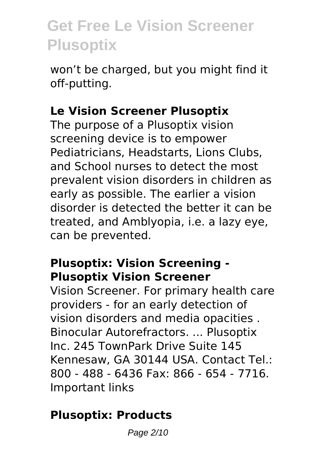won't be charged, but you might find it off-putting.

### **Le Vision Screener Plusoptix**

The purpose of a Plusoptix vision screening device is to empower Pediatricians, Headstarts, Lions Clubs, and School nurses to detect the most prevalent vision disorders in children as early as possible. The earlier a vision disorder is detected the better it can be treated, and Amblyopia, i.e. a lazy eye, can be prevented.

### **Plusoptix: Vision Screening - Plusoptix Vision Screener**

Vision Screener. For primary health care providers - for an early detection of vision disorders and media opacities . Binocular Autorefractors. ... Plusoptix Inc. 245 TownPark Drive Suite 145 Kennesaw, GA 30144 USA. Contact Tel.: 800 - 488 - 6436 Fax: 866 - 654 - 7716. Important links

### **Plusoptix: Products**

Page 2/10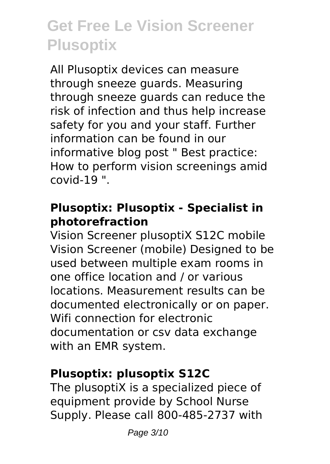All Plusoptix devices can measure through sneeze guards. Measuring through sneeze guards can reduce the risk of infection and thus help increase safety for you and your staff. Further information can be found in our informative blog post " Best practice: How to perform vision screenings amid covid-19 ".

### **Plusoptix: Plusoptix - Specialist in photorefraction**

Vision Screener plusoptiX S12C mobile Vision Screener (mobile) Designed to be used between multiple exam rooms in one office location and / or various locations. Measurement results can be documented electronically or on paper. Wifi connection for electronic documentation or csv data exchange with an EMR system.

### **Plusoptix: plusoptix S12C**

The plusoptiX is a specialized piece of equipment provide by School Nurse Supply. Please call 800-485-2737 with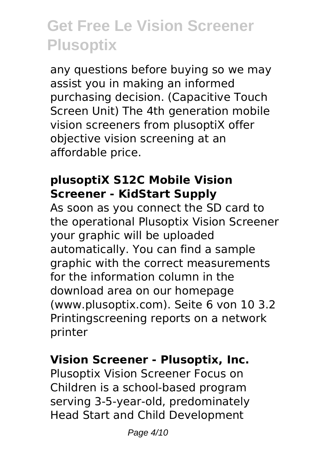any questions before buying so we may assist you in making an informed purchasing decision. (Capacitive Touch Screen Unit) The 4th generation mobile vision screeners from plusoptiX offer objective vision screening at an affordable price.

### **plusoptiX S12C Mobile Vision Screener - KidStart Supply**

As soon as you connect the SD card to the operational Plusoptix Vision Screener your graphic will be uploaded automatically. You can find a sample graphic with the correct measurements for the information column in the download area on our homepage (www.plusoptix.com). Seite 6 von 10 3.2 Printingscreening reports on a network printer

### **Vision Screener - Plusoptix, Inc.**

Plusoptix Vision Screener Focus on Children is a school-based program serving 3-5-year-old, predominately Head Start and Child Development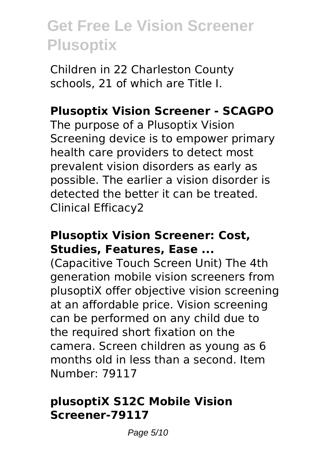Children in 22 Charleston County schools, 21 of which are Title I.

### **Plusoptix Vision Screener - SCAGPO**

The purpose of a Plusoptix Vision Screening device is to empower primary health care providers to detect most prevalent vision disorders as early as possible. The earlier a vision disorder is detected the better it can be treated. Clinical Efficacy2

#### **Plusoptix Vision Screener: Cost, Studies, Features, Ease ...**

(Capacitive Touch Screen Unit) The 4th generation mobile vision screeners from plusoptiX offer objective vision screening at an affordable price. Vision screening can be performed on any child due to the required short fixation on the camera. Screen children as young as 6 months old in less than a second. Item Number: 79117

#### **plusoptiX S12C Mobile Vision Screener-79117**

Page 5/10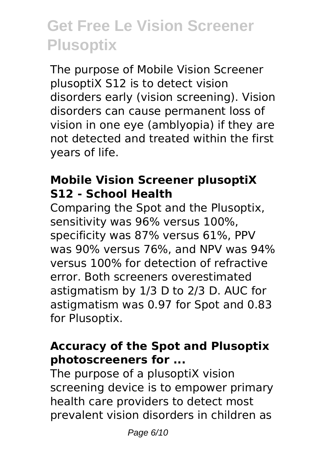The purpose of Mobile Vision Screener plusoptiX S12 is to detect vision disorders early (vision screening). Vision disorders can cause permanent loss of vision in one eye (amblyopia) if they are not detected and treated within the first years of life.

### **Mobile Vision Screener plusoptiX S12 - School Health**

Comparing the Spot and the Plusoptix, sensitivity was 96% versus 100%, specificity was 87% versus 61%, PPV was 90% versus 76%, and NPV was 94% versus 100% for detection of refractive error. Both screeners overestimated astigmatism by 1/3 D to 2/3 D. AUC for astigmatism was 0.97 for Spot and 0.83 for Plusoptix.

### **Accuracy of the Spot and Plusoptix photoscreeners for ...**

The purpose of a plusoptiX vision screening device is to empower primary health care providers to detect most prevalent vision disorders in children as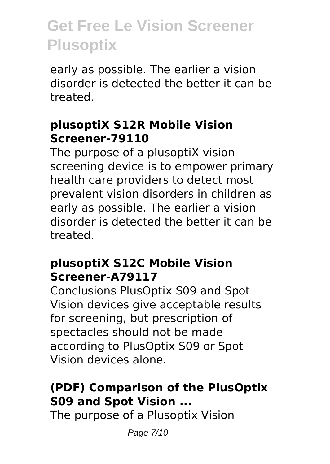early as possible. The earlier a vision disorder is detected the better it can be treated.

### **plusoptiX S12R Mobile Vision Screener-79110**

The purpose of a plusoptiX vision screening device is to empower primary health care providers to detect most prevalent vision disorders in children as early as possible. The earlier a vision disorder is detected the better it can be treated.

#### **plusoptiX S12C Mobile Vision Screener-A79117**

Conclusions PlusOptix S09 and Spot Vision devices give acceptable results for screening, but prescription of spectacles should not be made according to PlusOptix S09 or Spot Vision devices alone.

### **(PDF) Comparison of the PlusOptix S09 and Spot Vision ...**

The purpose of a Plusoptix Vision

Page 7/10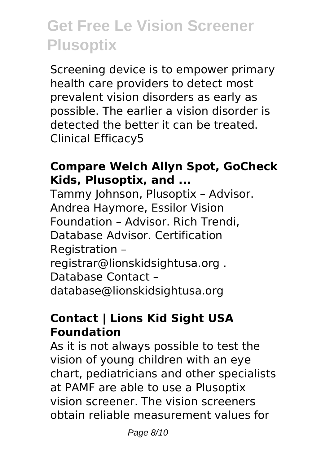Screening device is to empower primary health care providers to detect most prevalent vision disorders as early as possible. The earlier a vision disorder is detected the better it can be treated. Clinical Efficacy5

### **Compare Welch Allyn Spot, GoCheck Kids, Plusoptix, and ...**

Tammy Johnson, Plusoptix – Advisor. Andrea Haymore, Essilor Vision Foundation – Advisor. Rich Trendi, Database Advisor. Certification Registration – registrar@lionskidsightusa.org . Database Contact – database@lionskidsightusa.org

### **Contact | Lions Kid Sight USA Foundation**

As it is not always possible to test the vision of young children with an eye chart, pediatricians and other specialists at PAMF are able to use a Plusoptix vision screener. The vision screeners obtain reliable measurement values for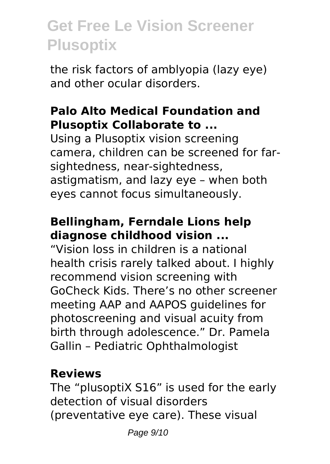the risk factors of amblyopia (lazy eye) and other ocular disorders.

#### **Palo Alto Medical Foundation and Plusoptix Collaborate to ...**

Using a Plusoptix vision screening camera, children can be screened for farsightedness, near-sightedness, astigmatism, and lazy eye – when both eyes cannot focus simultaneously.

### **Bellingham, Ferndale Lions help diagnose childhood vision ...**

"Vision loss in children is a national health crisis rarely talked about. I highly recommend vision screening with GoCheck Kids. There's no other screener meeting AAP and AAPOS guidelines for photoscreening and visual acuity from birth through adolescence." Dr. Pamela Gallin – Pediatric Ophthalmologist

### **Reviews**

The "plusoptiX S16" is used for the early detection of visual disorders (preventative eye care). These visual